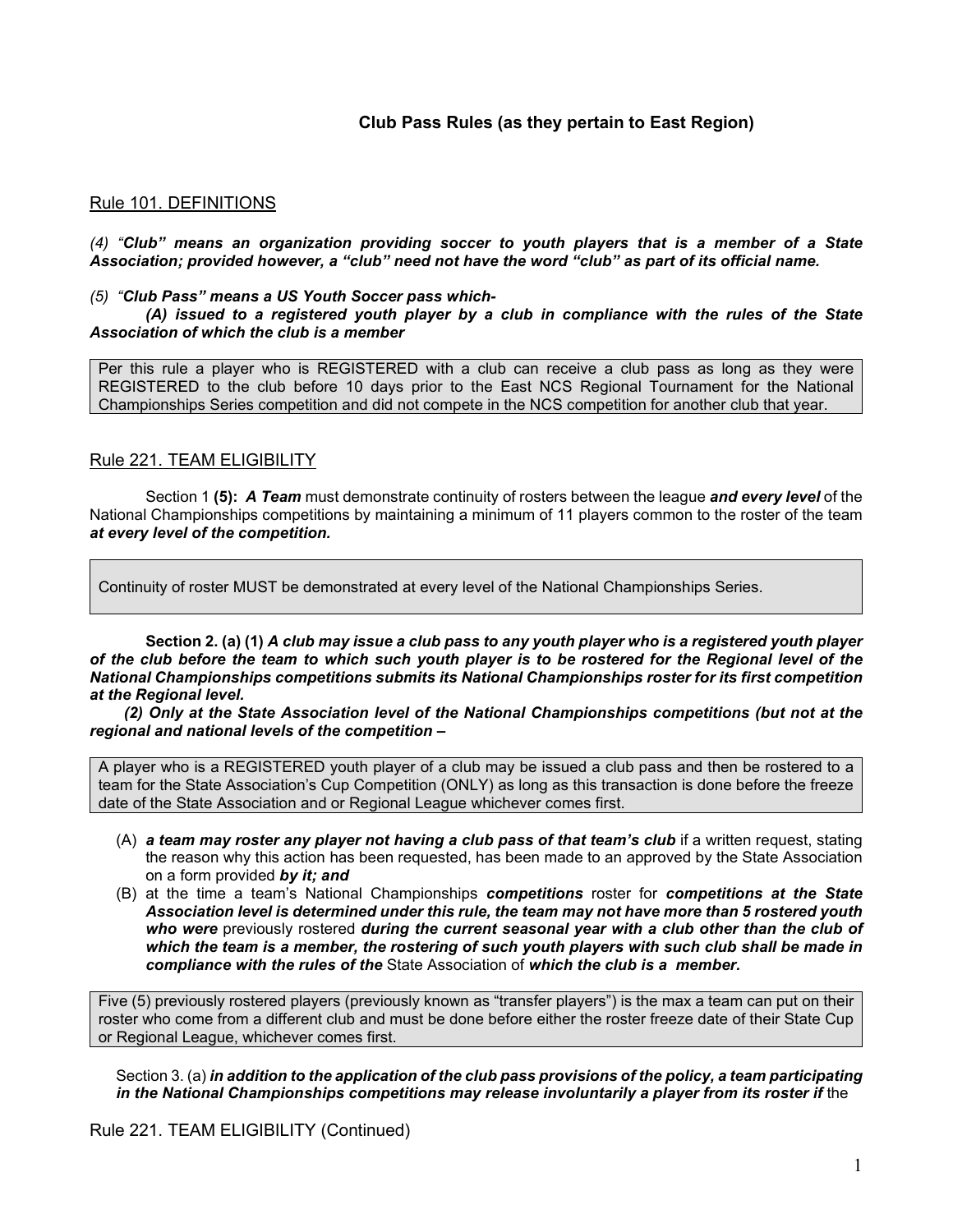# **Club Pass Rules (as they pertain to East Region)**

### Rule 101. DEFINITIONS

*(4) "Club" means an organization providing soccer to youth players that is a member of a State Association; provided however, a "club" need not have the word "club" as part of its official name.*

#### *(5) "Club Pass" means a US Youth Soccer pass which-*

*(A) issued to a registered youth player by a club in compliance with the rules of the State Association of which the club is a member*

Per this rule a player who is REGISTERED with a club can receive a club pass as long as they were REGISTERED to the club before 10 days prior to the East NCS Regional Tournament for the National Championships Series competition and did not compete in the NCS competition for another club that year.

### Rule 221. TEAM ELIGIBILITY

Section 1 **(5):** *A Team* must demonstrate continuity of rosters between the league *and every level* of the National Championships competitions by maintaining a minimum of 11 players common to the roster of the team *at every level of the competition.*

Continuity of roster MUST be demonstrated at every level of the National Championships Series.

**Section 2. (a) (1)** *A club may issue a club pass to any youth player who is a registered youth player of the club before the team to which such youth player is to be rostered for the Regional level of the National Championships competitions submits its National Championships roster for its first competition at the Regional level.*

 *(2) Only at the State Association level of the National Championships competitions (but not at the regional and national levels of the competition –* 

A player who is a REGISTERED youth player of a club may be issued a club pass and then be rostered to a team for the State Association's Cup Competition (ONLY) as long as this transaction is done before the freeze date of the State Association and or Regional League whichever comes first.

- (A) *a team may roster any player not having a club pass of that team's club* if a written request, stating the reason why this action has been requested, has been made to an approved by the State Association on a form provided *by it; and*
- (B) at the time a team's National Championships *competitions* roster for *competitions at the State Association level is determined under this rule, the team may not have more than 5 rostered youth who were* previously rostered *during the current seasonal year with a club other than the club of which the team is a member, the rostering of such youth players with such club shall be made in compliance with the rules of the* State Association of *which the club is a member.*

Five (5) previously rostered players (previously known as "transfer players") is the max a team can put on their roster who come from a different club and must be done before either the roster freeze date of their State Cup or Regional League, whichever comes first.

Section 3. (a) *in addition to the application of the club pass provisions of the policy, a team participating*  in the National Championships competitions may release involuntarily a player from its roster if the

Rule 221. TEAM ELIGIBILITY (Continued)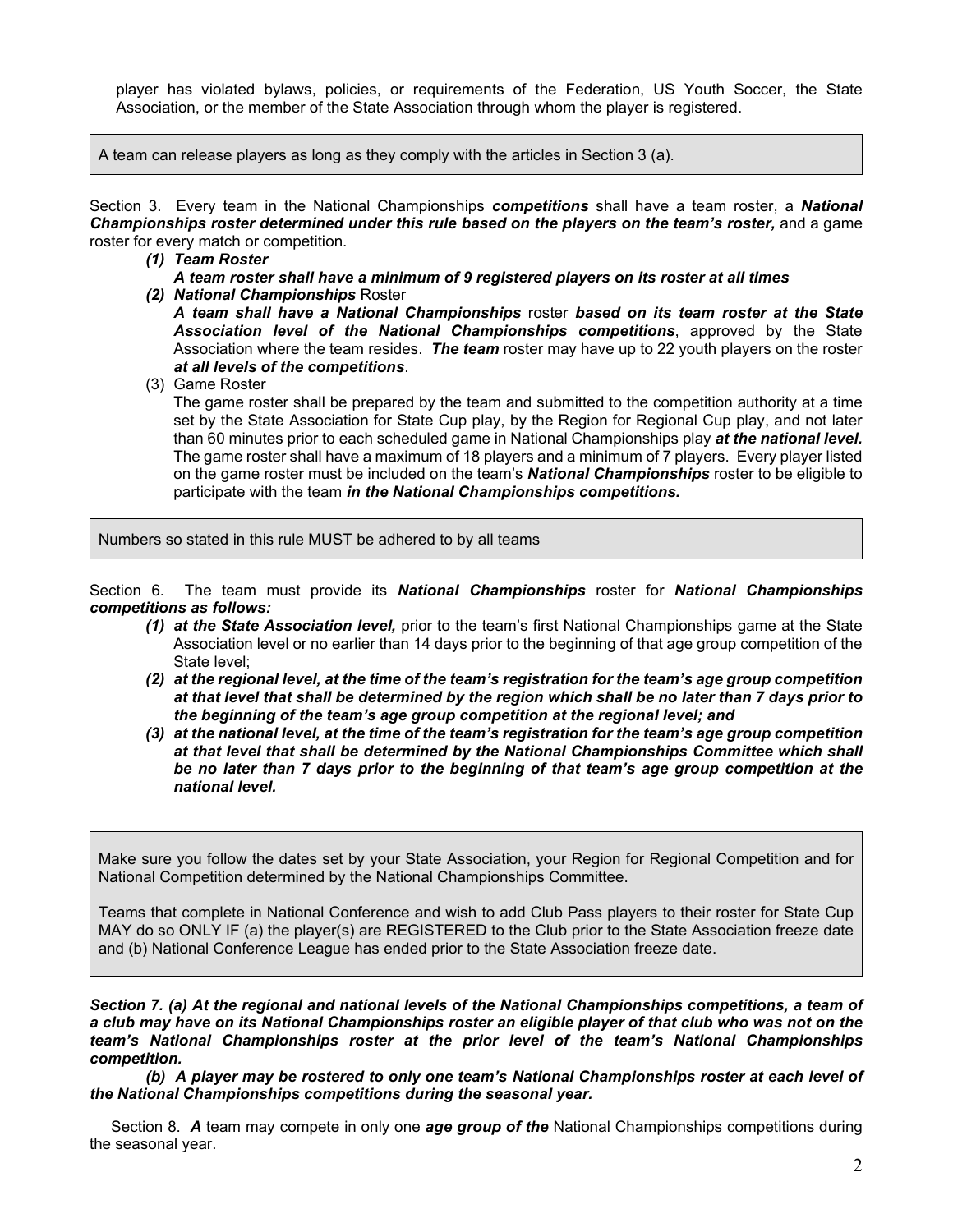player has violated bylaws, policies, or requirements of the Federation, US Youth Soccer, the State Association, or the member of the State Association through whom the player is registered.

A team can release players as long as they comply with the articles in Section 3 (a).

Section 3. Every team in the National Championships *competitions* shall have a team roster, a *National Championships roster determined under this rule based on the players on the team's roster,* and a game roster for every match or competition.

# *(1) Team Roster*

- *A team roster shall have a minimum of 9 registered players on its roster at all times*
- *(2) National Championships* Roster

*A team shall have a National Championships* roster *based on its team roster at the State Association level of the National Championships competitions*, approved by the State Association where the team resides. *The team* roster may have up to 22 youth players on the roster *at all levels of the competitions*.

(3) Game Roster

The game roster shall be prepared by the team and submitted to the competition authority at a time set by the State Association for State Cup play, by the Region for Regional Cup play, and not later than 60 minutes prior to each scheduled game in National Championships play *at the national level.*  The game roster shall have a maximum of 18 players and a minimum of 7 players. Every player listed on the game roster must be included on the team's *National Championships* roster to be eligible to participate with the team *in the National Championships competitions.*

Numbers so stated in this rule MUST be adhered to by all teams

Section 6. The team must provide its *National Championships* roster for *National Championships competitions as follows:*

- *(1) at the State Association level,* prior to the team's first National Championships game at the State Association level or no earlier than 14 days prior to the beginning of that age group competition of the State level;
- *(2) at the regional level, at the time of the team's registration for the team's age group competition at that level that shall be determined by the region which shall be no later than 7 days prior to the beginning of the team's age group competition at the regional level; and*
- *(3) at the national level, at the time of the team's registration for the team's age group competition at that level that shall be determined by the National Championships Committee which shall be no later than 7 days prior to the beginning of that team's age group competition at the national level.*

Make sure you follow the dates set by your State Association, your Region for Regional Competition and for National Competition determined by the National Championships Committee.

Teams that complete in National Conference and wish to add Club Pass players to their roster for State Cup MAY do so ONLY IF (a) the player(s) are REGISTERED to the Club prior to the State Association freeze date and (b) National Conference League has ended prior to the State Association freeze date.

*Section 7. (a) At the regional and national levels of the National Championships competitions, a team of a club may have on its National Championships roster an eligible player of that club who was not on the team's National Championships roster at the prior level of the team's National Championships competition.*

*(b) A player may be rostered to only one team's National Championships roster at each level of the National Championships competitions during the seasonal year.*

 Section 8. *A* team may compete in only one *age group of the* National Championships competitions during the seasonal year.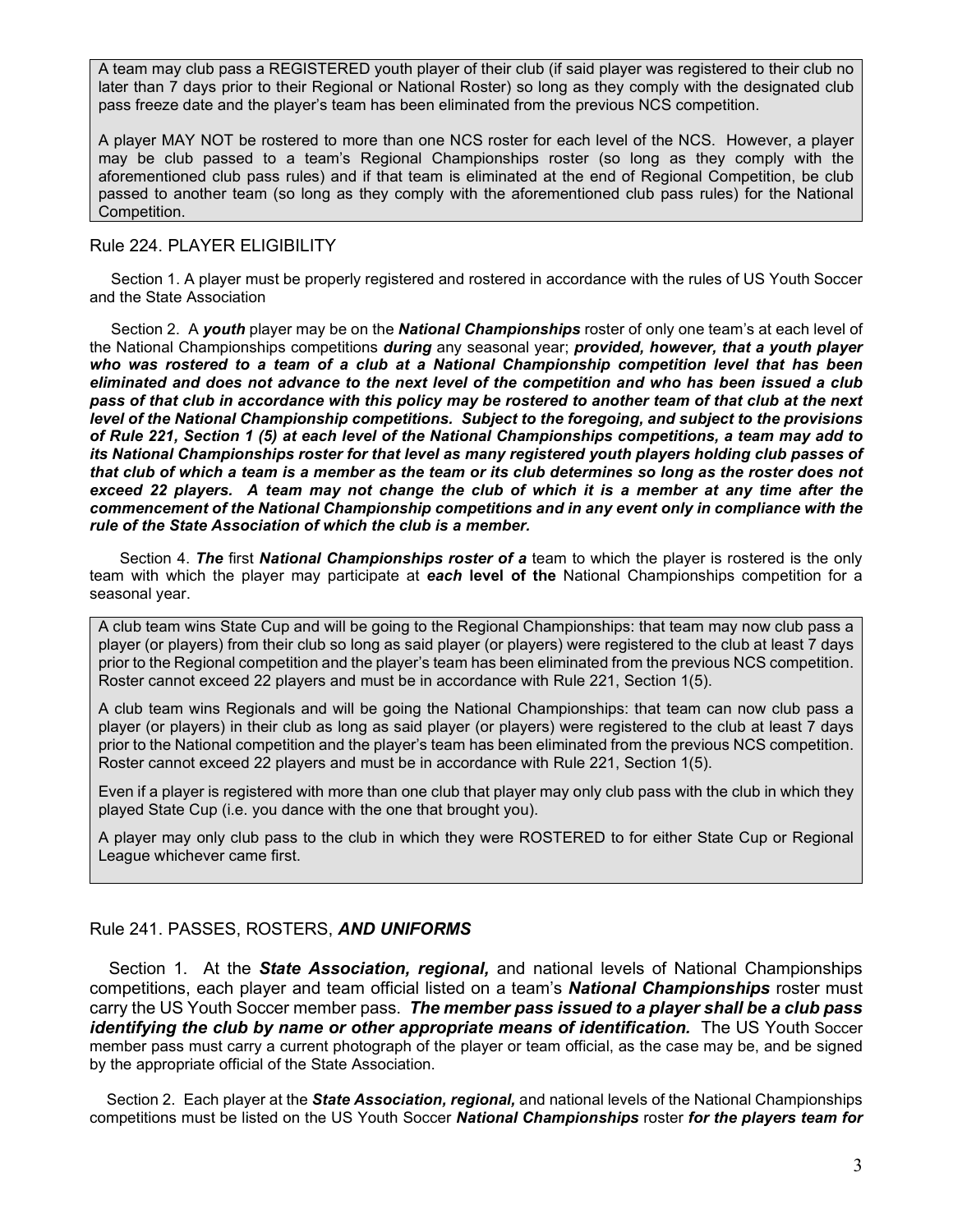A team may club pass a REGISTERED youth player of their club (if said player was registered to their club no later than 7 days prior to their Regional or National Roster) so long as they comply with the designated club pass freeze date and the player's team has been eliminated from the previous NCS competition.

A player MAY NOT be rostered to more than one NCS roster for each level of the NCS. However, a player may be club passed to a team's Regional Championships roster (so long as they comply with the aforementioned club pass rules) and if that team is eliminated at the end of Regional Competition, be club passed to another team (so long as they comply with the aforementioned club pass rules) for the National Competition.

## Rule 224. PLAYER ELIGIBILITY

 Section 1. A player must be properly registered and rostered in accordance with the rules of US Youth Soccer and the State Association

 Section 2. A *youth* player may be on the *National Championships* roster of only one team's at each level of the National Championships competitions *during* any seasonal year; *provided, however, that a youth player who was rostered to a team of a club at a National Championship competition level that has been eliminated and does not advance to the next level of the competition and who has been issued a club pass of that club in accordance with this policy may be rostered to another team of that club at the next level of the National Championship competitions. Subject to the foregoing, and subject to the provisions of Rule 221, Section 1 (5) at each level of the National Championships competitions, a team may add to its National Championships roster for that level as many registered youth players holding club passes of that club of which a team is a member as the team or its club determines so long as the roster does not exceed 22 players. A team may not change the club of which it is a member at any time after the commencement of the National Championship competitions and in any event only in compliance with the rule of the State Association of which the club is a member.*

 Section 4. *The* first *National Championships roster of a* team to which the player is rostered is the only team with which the player may participate at *each* **level of the** National Championships competition for a seasonal year.

A club team wins State Cup and will be going to the Regional Championships: that team may now club pass a player (or players) from their club so long as said player (or players) were registered to the club at least 7 days prior to the Regional competition and the player's team has been eliminated from the previous NCS competition. Roster cannot exceed 22 players and must be in accordance with Rule 221, Section 1(5).

A club team wins Regionals and will be going the National Championships: that team can now club pass a player (or players) in their club as long as said player (or players) were registered to the club at least 7 days prior to the National competition and the player's team has been eliminated from the previous NCS competition. Roster cannot exceed 22 players and must be in accordance with Rule 221, Section 1(5).

Even if a player is registered with more than one club that player may only club pass with the club in which they played State Cup (i.e. you dance with the one that brought you).

A player may only club pass to the club in which they were ROSTERED to for either State Cup or Regional League whichever came first.

#### Rule 241. PASSES, ROSTERS, *AND UNIFORMS*

 Section 1. At the *State Association, regional,* and national levels of National Championships competitions, each player and team official listed on a team's *National Championships* roster must carry the US Youth Soccer member pass. *The member pass issued to a player shall be a club pass identifying the club by name or other appropriate means of identification.* The US Youth Soccer member pass must carry a current photograph of the player or team official, as the case may be, and be signed by the appropriate official of the State Association.

 Section 2. Each player at the *State Association, regional,* and national levels of the National Championships competitions must be listed on the US Youth Soccer *National Championships* roster *for the players team for*